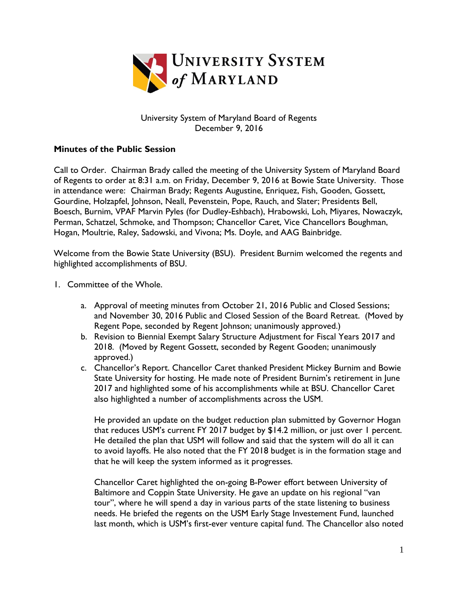

## University System of Maryland Board of Regents December 9, 2016

## **Minutes of the Public Session**

Call to Order. Chairman Brady called the meeting of the University System of Maryland Board of Regents to order at 8:31 a.m. on Friday, December 9, 2016 at Bowie State University. Those in attendance were: Chairman Brady; Regents Augustine, Enriquez, Fish, Gooden, Gossett, Gourdine, Holzapfel, Johnson, Neall, Pevenstein, Pope, Rauch, and Slater; Presidents Bell, Boesch, Burnim, VPAF Marvin Pyles (for Dudley-Eshbach), Hrabowski, Loh, Miyares, Nowaczyk, Perman, Schatzel, Schmoke, and Thompson; Chancellor Caret, Vice Chancellors Boughman, Hogan, Moultrie, Raley, Sadowski, and Vivona; Ms. Doyle, and AAG Bainbridge.

Welcome from the Bowie State University (BSU). President Burnim welcomed the regents and highlighted accomplishments of BSU.

- 1. Committee of the Whole.
	- a. Approval of meeting minutes from October 21, 2016 Public and Closed Sessions; and November 30, 2016 Public and Closed Session of the Board Retreat. (Moved by Regent Pope, seconded by Regent Johnson; unanimously approved.)
	- b. Revision to Biennial Exempt Salary Structure Adjustment for Fiscal Years 2017 and 2018. (Moved by Regent Gossett, seconded by Regent Gooden; unanimously approved.)
	- c. Chancellor's Report. Chancellor Caret thanked President Mickey Burnim and Bowie State University for hosting. He made note of President Burnim's retirement in June 2017 and highlighted some of his accomplishments while at BSU. Chancellor Caret also highlighted a number of accomplishments across the USM.

He provided an update on the budget reduction plan submitted by Governor Hogan that reduces USM's current FY 2017 budget by \$14.2 million, or just over 1 percent. He detailed the plan that USM will follow and said that the system will do all it can to avoid layoffs. He also noted that the FY 2018 budget is in the formation stage and that he will keep the system informed as it progresses.

Chancellor Caret highlighted the on-going B-Power effort between University of Baltimore and Coppin State University. He gave an update on his regional "van tour", where he will spend a day in various parts of the state listening to business needs. He briefed the regents on the USM Early Stage Investement Fund, launched last month, which is USM's first-ever venture capital fund. The Chancellor also noted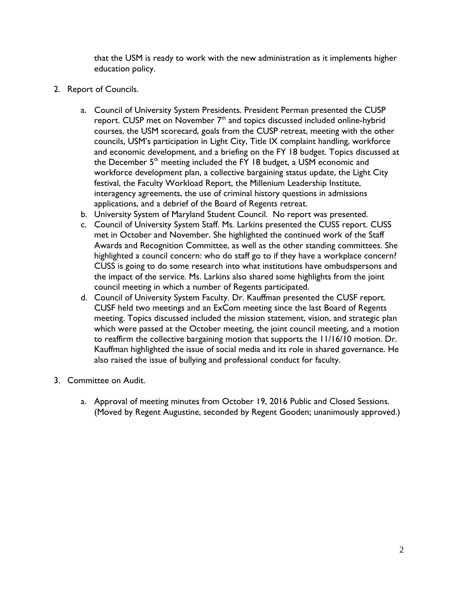that the USM is ready to work with the new administration as it implements higher education policy.

- 2. Report of Councils.
	- a. Council of University System Presidents. President Perman presented the CUSP report. CUSP met on November  $7<sup>th</sup>$  and topics discussed included online-hybrid courses, the USM scorecard, goals from the CUSP retreat, meeting with the other councils, USM's participation in Light City, Title IX complaint handling, workforce and economic development, and a briefing on the FY 18 budget. Topics discussed at the December 5<sup>th</sup> meeting included the FY 18 budget, a USM economic and workforce development plan, a collective bargaining status update, the Light City festival, the Faculty Workload Report, the Millenium Leadership Institute, interagency agreements, the use of criminal history questions in admissions applications, and a debrief of the Board of Regents retreat.
	- b. University System of Maryland Student Council. No report was presented.
	- c. Council of University System Staff. Ms. Larkins presented the CUSS report. CUSS met in October and November. She highlighted the continued work of the Staff Awards and Recognition Committee, as well as the other standing committees. She highlighted a council concern: who do staff go to if they have a workplace concern? CUSS is going to do some research into what institutions have ombudspersons and the impact of the service. Ms. Larkins also shared some highlights from the joint council meeting in which a number of Regents participated.
	- d. Council of University System Faculty. Dr. Kauffman presented the CUSF report. CUSF held two meetings and an ExCom meeting since the last Board of Regents meeting. Topics discussed included the mission statement, vision, and strategic plan which were passed at the October meeting, the joint council meeting, and a motion to reaffirm the collective bargaining motion that supports the 11/16/10 motion. Dr. Kauffman highlighted the issue of social media and its role in shared governance. He also raised the issue of bullying and professional conduct for faculty.
- 3. Committee on Audit.
	- a. Approval of meeting minutes from October 19, 2016 Public and Closed Sessions. (Moved by Regent Augustine, seconded by Regent Gooden; unanimously approved.)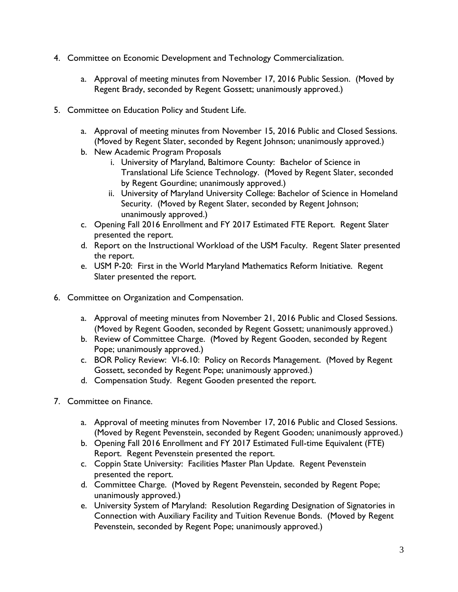- 4. Committee on Economic Development and Technology Commercialization.
	- a. Approval of meeting minutes from November 17, 2016 Public Session. (Moved by Regent Brady, seconded by Regent Gossett; unanimously approved.)
- 5. Committee on Education Policy and Student Life.
	- a. Approval of meeting minutes from November 15, 2016 Public and Closed Sessions. (Moved by Regent Slater, seconded by Regent Johnson; unanimously approved.)
	- b. New Academic Program Proposals
		- i. University of Maryland, Baltimore County: Bachelor of Science in Translational Life Science Technology. (Moved by Regent Slater, seconded by Regent Gourdine; unanimously approved.)
		- ii. University of Maryland University College: Bachelor of Science in Homeland Security. (Moved by Regent Slater, seconded by Regent Johnson; unanimously approved.)
	- c. Opening Fall 2016 Enrollment and FY 2017 Estimated FTE Report. Regent Slater presented the report.
	- d. Report on the Instructional Workload of the USM Faculty. Regent Slater presented the report.
	- e. USM P-20: First in the World Maryland Mathematics Reform Initiative. Regent Slater presented the report.
- 6. Committee on Organization and Compensation.
	- a. Approval of meeting minutes from November 21, 2016 Public and Closed Sessions. (Moved by Regent Gooden, seconded by Regent Gossett; unanimously approved.)
	- b. Review of Committee Charge. (Moved by Regent Gooden, seconded by Regent Pope; unanimously approved.)
	- c. BOR Policy Review: VI-6.10: Policy on Records Management. (Moved by Regent Gossett, seconded by Regent Pope; unanimously approved.)
	- d. Compensation Study. Regent Gooden presented the report.
- 7. Committee on Finance.
	- a. Approval of meeting minutes from November 17, 2016 Public and Closed Sessions. (Moved by Regent Pevenstein, seconded by Regent Gooden; unanimously approved.)
	- b. Opening Fall 2016 Enrollment and FY 2017 Estimated Full-time Equivalent (FTE) Report. Regent Pevenstein presented the report.
	- c. Coppin State University: Facilities Master Plan Update. Regent Pevenstein presented the report.
	- d. Committee Charge. (Moved by Regent Pevenstein, seconded by Regent Pope; unanimously approved.)
	- e. University System of Maryland: Resolution Regarding Designation of Signatories in Connection with Auxiliary Facility and Tuition Revenue Bonds. (Moved by Regent Pevenstein, seconded by Regent Pope; unanimously approved.)